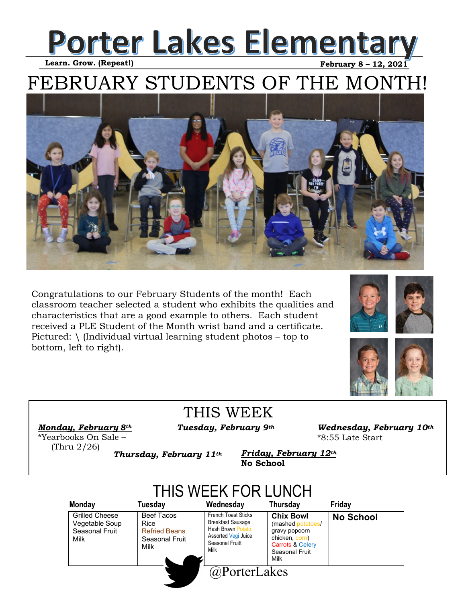### **Porter Lakes Elementary**   **February 8 – 12, 2021**

 **Learn. Grow. (Repeat!)**

## FEBRUARY STUDENTS OF THE MONTH!



Congratulations to our February Students of the month! Each classroom teacher selected a student who exhibits the qualities and characteristics that are a good example to others. Each student received a PLE Student of the Month wrist band and a certificate. Pictured:  $\langle$  (Individual virtual learning student photos – top to bottom, left to right).





THIS WEEK

*Monday, February*  $8<sup>th</sup>$  *Tuesday, February*  $9<sup>th</sup>$ 

*Wednesday, February 10th*  \*8:55 Late Start

\*Yearbooks On Sale – (Thru 2/26)

*Thursday, February 11th* 

*Friday, February 12th*  **No School**